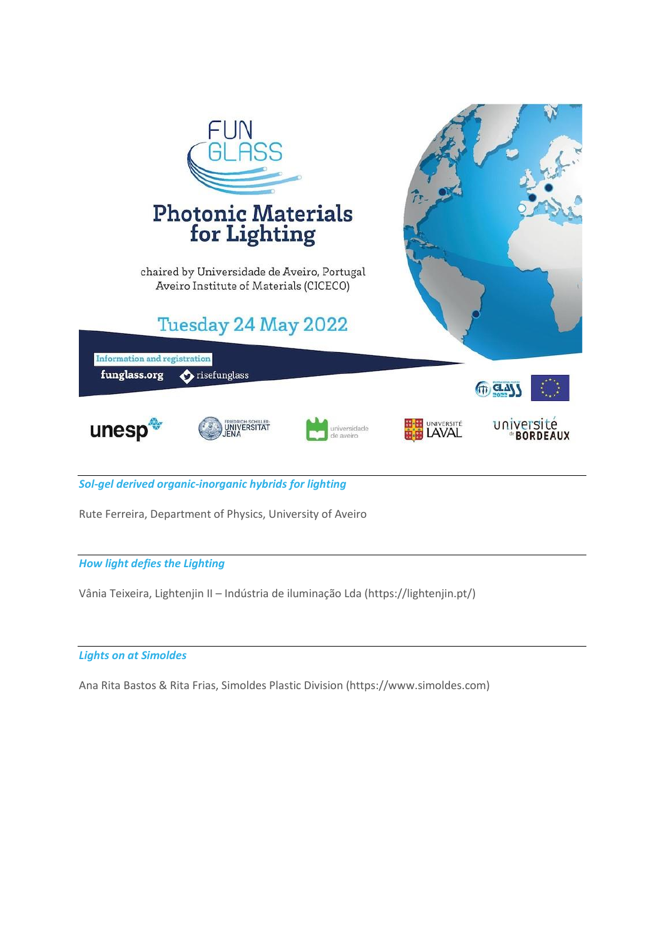

*Sol-gel derived organic-inorganic hybrids for lighting* 

Rute Ferreira, Department of Physics, University of Aveiro

### *How light defies the Lighting*

Vânia Teixeira, Lightenjin II – Indústria de iluminação Lda (https://lightenjin.pt/)

### *Lights on at Simoldes*

Ana Rita Bastos & Rita Frias, Simoldes Plastic Division (https://www.simoldes.com)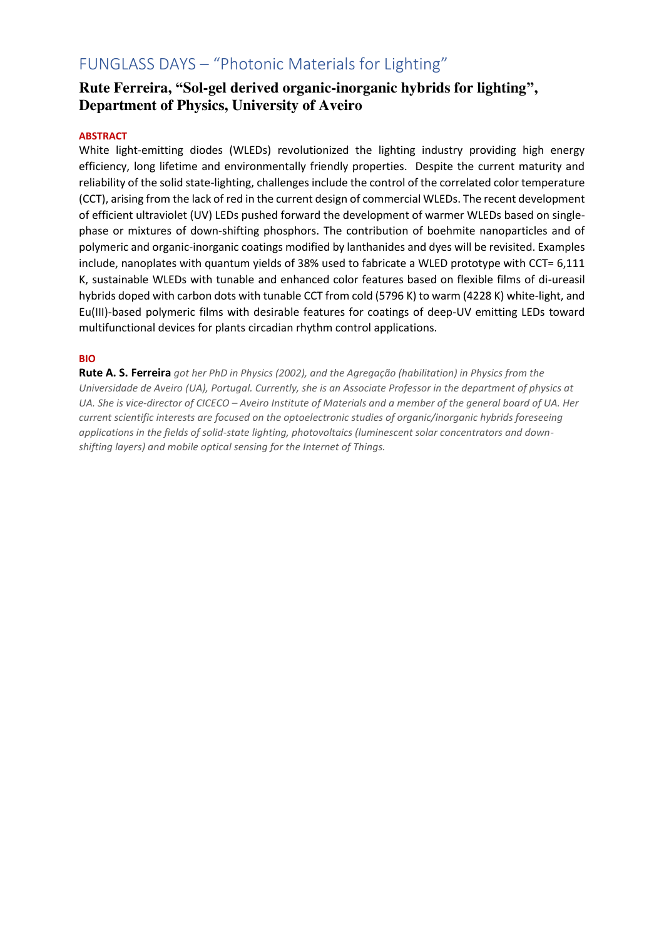# FUNGLASS DAYS – "Photonic Materials for Lighting"

## **Rute Ferreira, "Sol-gel derived organic-inorganic hybrids for lighting" , Department of Physics, University of Aveiro**

### **ABSTRACT**

White light-emitting diodes (WLEDs) revolutionized the lighting industry providing high energy efficiency, long lifetime and environmentally friendly properties. Despite the current maturity and reliability of the solid state-lighting, challenges include the control of the correlated color temperature (CCT), arising from the lack of red in the current design of commercial WLEDs. The recent development of efficient ultraviolet (UV) LEDs pushed forward the development of warmer WLEDs based on singlephase or mixtures of down-shifting phosphors. The contribution of boehmite nanoparticles and of polymeric and organic-inorganic coatings modified by lanthanides and dyes will be revisited. Examples include, nanoplates with quantum yields of 38% used to fabricate a WLED prototype with CCT= 6,111 K, sustainable WLEDs with tunable and enhanced color features based on flexible films of di-ureasil hybrids doped with carbon dots with tunable CCT from cold (5796 K) to warm (4228 K) white-light, and Eu(III)-based polymeric films with desirable features for coatings of deep-UV emitting LEDs toward multifunctional devices for plants circadian rhythm control applications.

### **BIO**

**Rute A. S. Ferreira** *got her PhD in Physics (2002), and the Agregação (habilitation) in Physics from the Universidade de Aveiro (UA), Portugal. Currently, she is an Associate Professor in the department of physics at UA. She is vice-director of CICECO – Aveiro Institute of Materials and a member of the general board of UA. Her current scientific interests are focused on the optoelectronic studies of organic/inorganic hybrids foreseeing applications in the fields of solid-state lighting, photovoltaics (luminescent solar concentrators and downshifting layers) and mobile optical sensing for the Internet of Things.*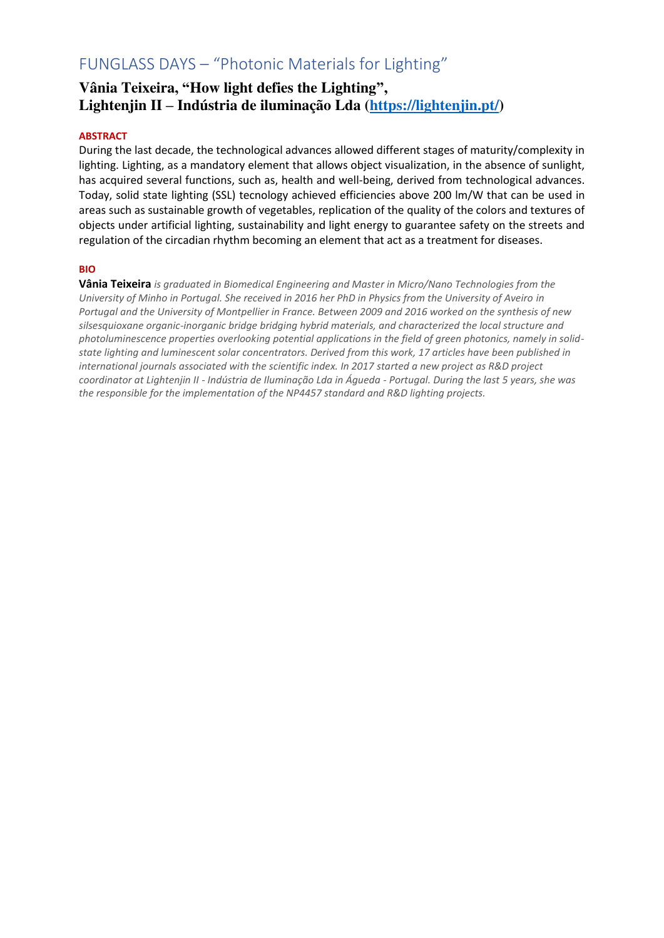# FUNGLASS DAYS – "Photonic Materials for Lighting"

## **Vânia Teixeira, "How light defies the Lighting" , Lightenjin II – Indústria de iluminação Lda [\(https://lightenjin.pt/\)](https://lightenjin.pt/)**

### **ABSTRACT**

During the last decade, the technological advances allowed different stages of maturity/complexity in lighting. Lighting, as a mandatory element that allows object visualization, in the absence of sunlight, has acquired several functions, such as, health and well-being, derived from technological advances. Today, solid state lighting (SSL) tecnology achieved efficiencies above 200 lm/W that can be used in areas such as sustainable growth of vegetables, replication of the quality of the colors and textures of objects under artificial lighting, sustainability and light energy to guarantee safety on the streets and regulation of the circadian rhythm becoming an element that act as a treatment for diseases.

### **BIO**

**Vânia Teixeira** *is graduated in Biomedical Engineering and Master in Micro/Nano Technologies from the University of Minho in Portugal. She received in 2016 her PhD in Physics from the University of Aveiro in Portugal and the University of Montpellier in France. Between 2009 and 2016 worked on the synthesis of new silsesquioxane organic-inorganic bridge bridging hybrid materials, and characterized the local structure and photoluminescence properties overlooking potential applications in the field of green photonics, namely in solidstate lighting and luminescent solar concentrators. Derived from this work, 17 articles have been published in international journals associated with the scientific index. In 2017 started a new project as R&D project coordinator at Lightenjin II - Indústria de Iluminação Lda in Águeda - Portugal. During the last 5 years, she was the responsible for the implementation of the NP4457 standard and R&D lighting projects.*